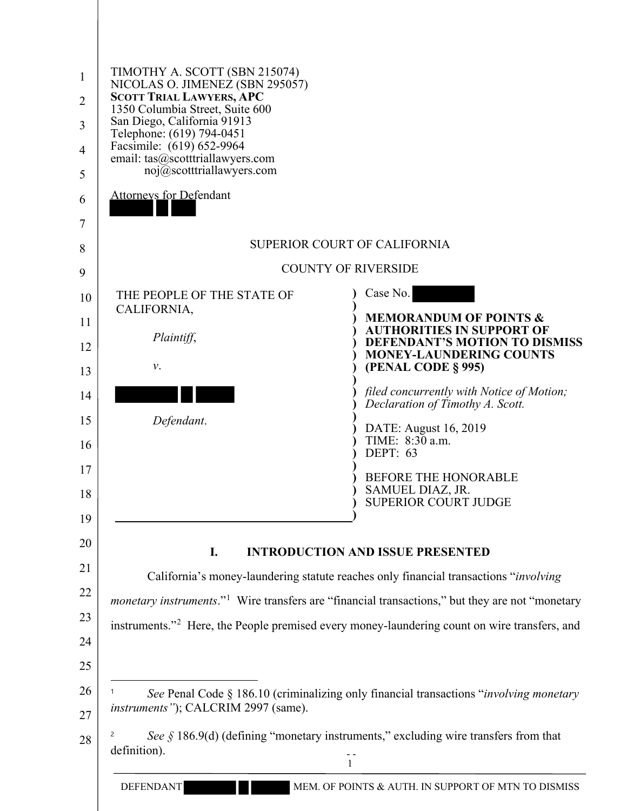| $\mathbf{1}$<br>$\overline{2}$<br>3<br>$\overline{4}$<br>5 | TIMOTHY A. SCOTT (SBN 215074)<br>NICOLAS O. JIMENEZ (SBN 295057)<br><b>SCOTT TRIAL LAWYERS, APC</b><br>1350 Columbia Street, Suite 600<br>San Diego, California 91913<br>Telephone: (619) 794-0451<br>Facsimile: (619) 652-9964<br>email: tas@scotttriallawyers.com<br>noj@scotttriallawyers.com |                                                                                                                                                                                                                                                                                                                                                                                                                     |
|------------------------------------------------------------|--------------------------------------------------------------------------------------------------------------------------------------------------------------------------------------------------------------------------------------------------------------------------------------------------|---------------------------------------------------------------------------------------------------------------------------------------------------------------------------------------------------------------------------------------------------------------------------------------------------------------------------------------------------------------------------------------------------------------------|
| 6<br>7                                                     | <b>Attorneys for Defendant</b>                                                                                                                                                                                                                                                                   |                                                                                                                                                                                                                                                                                                                                                                                                                     |
| 8                                                          |                                                                                                                                                                                                                                                                                                  | <b>SUPERIOR COURT OF CALIFORNIA</b>                                                                                                                                                                                                                                                                                                                                                                                 |
| 9                                                          |                                                                                                                                                                                                                                                                                                  | <b>COUNTY OF RIVERSIDE</b>                                                                                                                                                                                                                                                                                                                                                                                          |
| 10<br>11<br>12<br>13<br>14<br>15<br>16<br>17<br>18<br>19   | THE PEOPLE OF THE STATE OF<br>CALIFORNIA,<br>Plaintiff,<br>ν.<br>Defendant.                                                                                                                                                                                                                      | Case No.<br><b>MEMORANDUM OF POINTS &amp;</b><br><b>AUTHORITIES IN SUPPORT OF</b><br><b>DEFENDANT'S MOTION TO DISMISS</b><br><b>MONEY-LAUNDERING COUNTS</b><br>(PENAL CODE § 995)<br>filed concurrently with Notice of Motion;<br>Declaration of Timothy A. Scott.<br>DATE: August 16, 2019<br>TIME: 8:30 a.m.<br><b>DEPT: 63</b><br><b>BEFORE THE HONORABLE</b><br>SAMUEL DIAZ, JR.<br><b>SUPERIOR COURT JUDGE</b> |
| 20<br>21<br>22<br>23<br>24<br>25                           | I.                                                                                                                                                                                                                                                                                               | <b>INTRODUCTION AND ISSUE PRESENTED</b><br>California's money-laundering statute reaches only financial transactions "involving<br><i>monetary instruments.</i> " <sup>1</sup> Wire transfers are "financial transactions," but they are not "monetary<br>instruments." <sup>2</sup> Here, the People premised every money-laundering count on wire transfers, and                                                  |
| 26<br>27<br>28                                             | instruments"); CALCRIM 2997 (same).<br>definition).                                                                                                                                                                                                                                              | See Penal Code § 186.10 (criminalizing only financial transactions " <i>involving monetary</i><br>See $\S$ 186.9(d) (defining "monetary instruments," excluding wire transfers from that                                                                                                                                                                                                                            |
|                                                            | <b>DEFENDANT</b>                                                                                                                                                                                                                                                                                 | MEM. OF POINTS & AUTH. IN SUPPORT OF MTN TO DISMISS                                                                                                                                                                                                                                                                                                                                                                 |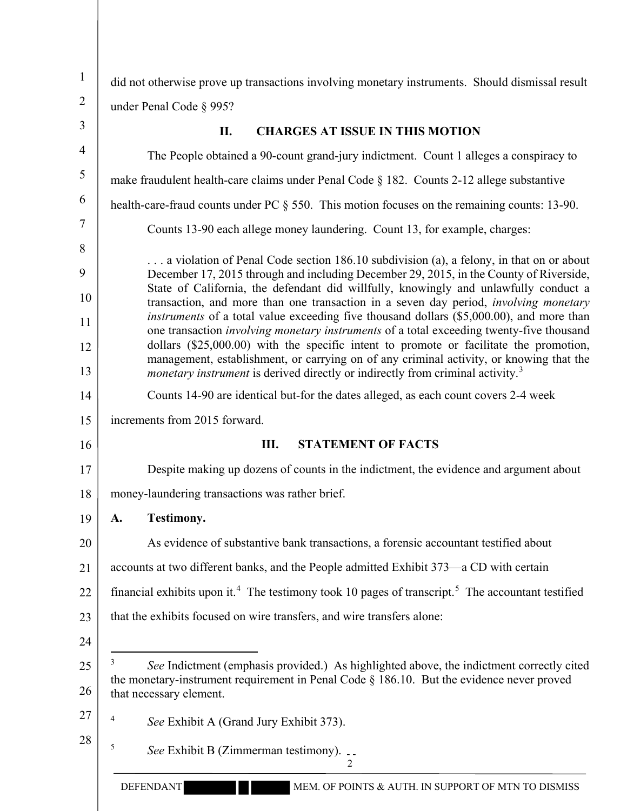| $\mathbf{1}$     | did not otherwise prove up transactions involving monetary instruments. Should dismissal result                                                                                                                          |  |  |  |  |  |  |  |
|------------------|--------------------------------------------------------------------------------------------------------------------------------------------------------------------------------------------------------------------------|--|--|--|--|--|--|--|
| $\overline{2}$   | under Penal Code § 995?                                                                                                                                                                                                  |  |  |  |  |  |  |  |
| 3                | <b>CHARGES AT ISSUE IN THIS MOTION</b><br>II.                                                                                                                                                                            |  |  |  |  |  |  |  |
| 4                | The People obtained a 90-count grand-jury indictment. Count 1 alleges a conspiracy to                                                                                                                                    |  |  |  |  |  |  |  |
| 5                | make fraudulent health-care claims under Penal Code § 182. Counts 2-12 allege substantive                                                                                                                                |  |  |  |  |  |  |  |
| 6                | health-care-fraud counts under PC § 550. This motion focuses on the remaining counts: 13-90.                                                                                                                             |  |  |  |  |  |  |  |
| $\boldsymbol{7}$ | Counts 13-90 each allege money laundering. Count 13, for example, charges:                                                                                                                                               |  |  |  |  |  |  |  |
| 8                | a violation of Penal Code section 186.10 subdivision (a), a felony, in that on or about                                                                                                                                  |  |  |  |  |  |  |  |
| 9                | December 17, 2015 through and including December 29, 2015, in the County of Riverside,                                                                                                                                   |  |  |  |  |  |  |  |
| 10               | State of California, the defendant did willfully, knowingly and unlawfully conduct a<br>transaction, and more than one transaction in a seven day period, involving monetary                                             |  |  |  |  |  |  |  |
| 11               | instruments of a total value exceeding five thousand dollars (\$5,000.00), and more than<br>one transaction <i>involving monetary instruments</i> of a total exceeding twenty-five thousand                              |  |  |  |  |  |  |  |
| 12               | dollars $(\$25,000.00)$ with the specific intent to promote or facilitate the promotion,<br>management, establishment, or carrying on of any criminal activity, or knowing that the                                      |  |  |  |  |  |  |  |
| 13               | <i>monetary instrument</i> is derived directly or indirectly from criminal activity. <sup>3</sup>                                                                                                                        |  |  |  |  |  |  |  |
| 14               | Counts 14-90 are identical but-for the dates alleged, as each count covers 2-4 week                                                                                                                                      |  |  |  |  |  |  |  |
| 15               | increments from 2015 forward.                                                                                                                                                                                            |  |  |  |  |  |  |  |
| 16               | <b>STATEMENT OF FACTS</b><br>Ш.                                                                                                                                                                                          |  |  |  |  |  |  |  |
| 17               | Despite making up dozens of counts in the indictment, the evidence and argument about                                                                                                                                    |  |  |  |  |  |  |  |
| 18               | money-laundering transactions was rather brief.                                                                                                                                                                          |  |  |  |  |  |  |  |
| 19               | <b>Testimony.</b><br>A.                                                                                                                                                                                                  |  |  |  |  |  |  |  |
| 20               | As evidence of substantive bank transactions, a forensic accountant testified about                                                                                                                                      |  |  |  |  |  |  |  |
| 21               | accounts at two different banks, and the People admitted Exhibit 373—a CD with certain                                                                                                                                   |  |  |  |  |  |  |  |
| 22               | financial exhibits upon it. <sup>4</sup> The testimony took 10 pages of transcript. <sup>5</sup> The accountant testified                                                                                                |  |  |  |  |  |  |  |
| 23               | that the exhibits focused on wire transfers, and wire transfers alone:                                                                                                                                                   |  |  |  |  |  |  |  |
| 24               |                                                                                                                                                                                                                          |  |  |  |  |  |  |  |
| 25<br>26         | 3<br>See Indictment (emphasis provided.) As highlighted above, the indictment correctly cited<br>the monetary-instrument requirement in Penal Code $\S$ 186.10. But the evidence never proved<br>that necessary element. |  |  |  |  |  |  |  |
| 27               | 4<br>See Exhibit A (Grand Jury Exhibit 373).                                                                                                                                                                             |  |  |  |  |  |  |  |
| 28               |                                                                                                                                                                                                                          |  |  |  |  |  |  |  |
|                  | 5<br>See Exhibit B (Zimmerman testimony).<br>$\mathfrak{D}$                                                                                                                                                              |  |  |  |  |  |  |  |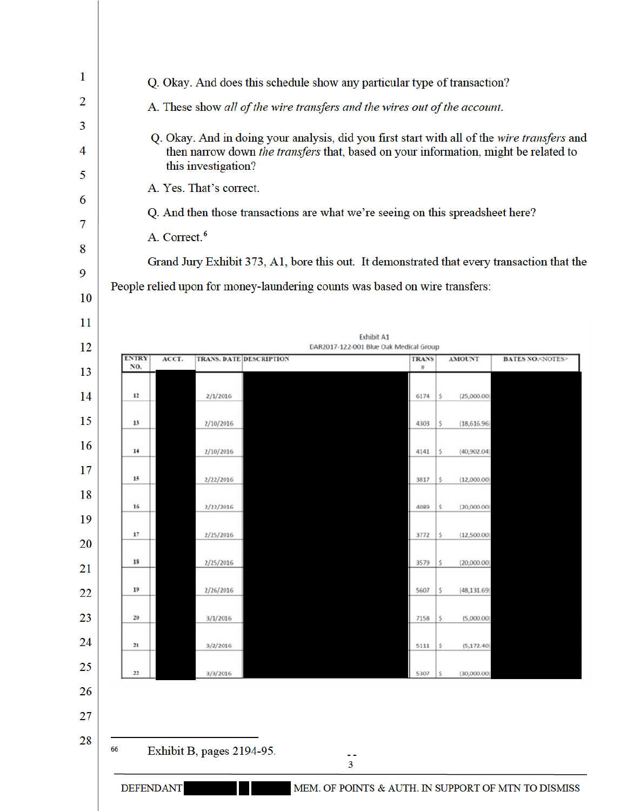| 2<br>3<br>4<br>5<br>6<br>7<br>8<br>9<br>10<br>11                           |                                                                | A. Correct. <sup>6</sup> | A. These show all of the wire transfers and the wires out of the account.<br>this investigation?<br>A. Yes. That's correct.<br>Q. And then those transactions are what we're seeing on this spreadsheet here?<br>People relied upon for money-laundering counts was based on wire transfers: |  |       |                                                             |                                                                                      |                                                         |                                                                                                                                                                     | Q. Okay. And in doing your analysis, did you first start with all of the wire transfers and<br>then narrow down the transfers that, based on your information, might be related to<br>Grand Jury Exhibit 373, A1, bore this out. It demonstrated that every transaction that the |
|----------------------------------------------------------------------------|----------------------------------------------------------------|--------------------------|----------------------------------------------------------------------------------------------------------------------------------------------------------------------------------------------------------------------------------------------------------------------------------------------|--|-------|-------------------------------------------------------------|--------------------------------------------------------------------------------------|---------------------------------------------------------|---------------------------------------------------------------------------------------------------------------------------------------------------------------------|----------------------------------------------------------------------------------------------------------------------------------------------------------------------------------------------------------------------------------------------------------------------------------|
| 12                                                                         |                                                                |                          |                                                                                                                                                                                                                                                                                              |  |       | <b>Exhibit A1</b><br>DAR2017-122-001 Blue Oak Medical Group |                                                                                      |                                                         |                                                                                                                                                                     |                                                                                                                                                                                                                                                                                  |
|                                                                            | <b>ENTRY</b><br>NO.                                            | ACCT.                    | <b>TRANS. DATE DESCRIPTION</b>                                                                                                                                                                                                                                                               |  |       |                                                             | <b>TRANS</b><br>#                                                                    |                                                         | <b>AMOUNT</b>                                                                                                                                                       | <b>BATES NO.<notes></notes></b>                                                                                                                                                                                                                                                  |
| 13<br>14<br>15<br>16<br>17<br>18<br>19<br>20<br>21<br>22<br>23<br>24<br>25 | 12<br>13<br>14<br>15<br>16<br>17<br>18<br>19<br>20<br>21<br>22 |                          | 2/1/2016<br>2/10/2016<br>2/10/2016<br>2/22/2016<br>2/22/2016<br>2/25/2016<br>2/25/2016<br>2/26/2016<br>3/1/2016<br>3/2/2016<br>3/3/2016                                                                                                                                                      |  |       |                                                             | 6174<br>4303<br>4141<br>3817<br>4089<br>3772<br>3579<br>5607<br>7158<br>5111<br>5307 | s<br>s<br>s<br>Ś<br>s<br>S<br>S<br>\$.<br>\$<br>\$<br>S | (25,000.00)<br>(18, 616.96)<br>(40, 902.04)<br>(12,000.00)<br>(20,000.00)<br>(12,500.00)<br>(20,000.00)<br>(48, 131.69)<br>(5,000.00)<br>(5, 172.40)<br>(30,000.00) |                                                                                                                                                                                                                                                                                  |
| 26<br>27<br>28                                                             | 66                                                             | <b>DEFENDANT</b>         | Exhibit B, pages 2194-95.                                                                                                                                                                                                                                                                    |  | <br>3 |                                                             |                                                                                      |                                                         |                                                                                                                                                                     | MEM. OF POINTS & AUTH. IN SUPPORT OF MTN TO DISMISS                                                                                                                                                                                                                              |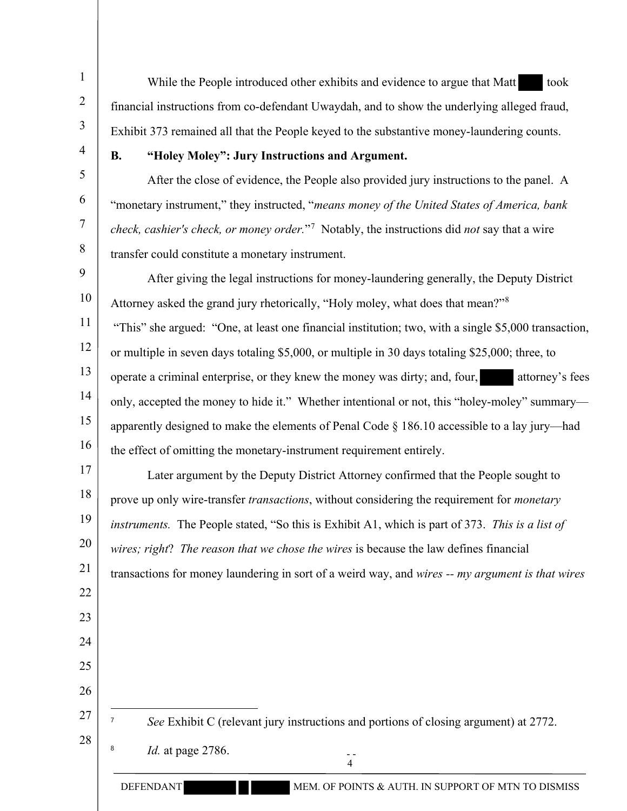While the People introduced other exhibits and evidence to argue that Matt took financial instructions from co-defendant Uwaydah, and to show the underlying alleged fraud, Exhibit 373 remained all that the People keyed to the substantive money-laundering counts.

4 5

6

7

8

22

23

24

25

26

27

28

1

2

3

## **B. "Holey Moley": Jury Instructions and Argument.**

After the close of evidence, the People also provided jury instructions to the panel. A "monetary instrument," they instructed, "*means money of the United States of America, bank check, cashier's check, or money order.*"<sup>7</sup> Notably, the instructions did *not* say that a wire transfer could constitute a monetary instrument.

9 10 11 12 13 14 15 16 After giving the legal instructions for money-laundering generally, the Deputy District Attorney asked the grand jury rhetorically, "Holy moley, what does that mean?"<sup>8</sup> "This" she argued: "One, at least one financial institution; two, with a single \$5,000 transaction, or multiple in seven days totaling \$5,000, or multiple in 30 days totaling \$25,000; three, to operate a criminal enterprise, or they knew the money was dirty; and, four, attorney's fees only, accepted the money to hide it." Whether intentional or not, this "holey-moley" summary apparently designed to make the elements of Penal Code § 186.10 accessible to a lay jury—had the effect of omitting the monetary-instrument requirement entirely.

17 18 19 20 21 Later argument by the Deputy District Attorney confirmed that the People sought to prove up only wire-transfer *transactions*, without considering the requirement for *monetary instruments.* The People stated, "So this is Exhibit A1, which is part of 373. *This is a list of wires; right*? *The reason that we chose the wires* is because the law defines financial transactions for money laundering in sort of a weird way, and *wires -- my argument is that wires*

- 7 *See* Exhibit C (relevant jury instructions and portions of closing argument) at 2772.
	- 8 *Id.* at page 2786.

 - - 4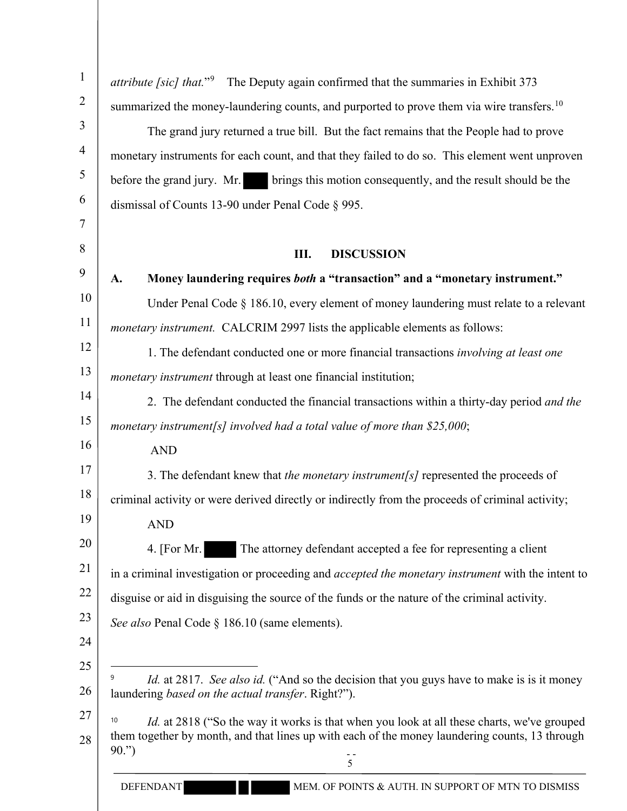| $\mathbf{1}$   | attribute [sic] that." <sup>9</sup> The Deputy again confirmed that the summaries in Exhibit 373           |
|----------------|------------------------------------------------------------------------------------------------------------|
| $\overline{2}$ | summarized the money-laundering counts, and purported to prove them via wire transfers. <sup>10</sup>      |
| 3              | The grand jury returned a true bill. But the fact remains that the People had to prove                     |
| $\overline{4}$ | monetary instruments for each count, and that they failed to do so. This element went unproven             |
| 5              | before the grand jury. Mr. brings this motion consequently, and the result should be the                   |
| 6              | dismissal of Counts 13-90 under Penal Code § 995.                                                          |
| $\tau$         |                                                                                                            |
| 8              | Ш.<br><b>DISCUSSION</b>                                                                                    |
| 9              | Money laundering requires both a "transaction" and a "monetary instrument."<br>A.                          |
| 10             | Under Penal Code § 186.10, every element of money laundering must relate to a relevant                     |
| 11             | <i>monetary instrument.</i> CALCRIM 2997 lists the applicable elements as follows:                         |
| 12             | 1. The defendant conducted one or more financial transactions involving at least one                       |
| 13             | <i>monetary instrument</i> through at least one financial institution;                                     |
| 14             | 2. The defendant conducted the financial transactions within a thirty-day period and the                   |
| 15             | monetary instrument[s] involved had a total value of more than $$25,000;$                                  |
| 16             | <b>AND</b>                                                                                                 |
| 17             | 3. The defendant knew that the monetary instrument[s] represented the proceeds of                          |
| 18             | criminal activity or were derived directly or indirectly from the proceeds of criminal activity;           |
| 19             | <b>AND</b>                                                                                                 |
| 20             | The attorney defendant accepted a fee for representing a client<br>4. [For Mr.]                            |
| 21             | in a criminal investigation or proceeding and <i>accepted the monetary instrument</i> with the intent to   |
| 22             | disguise or aid in disguising the source of the funds or the nature of the criminal activity.              |
| 23             | See also Penal Code § 186.10 (same elements).                                                              |
| 24             |                                                                                                            |
| 25             | 9<br>Id. at 2817. See also id. ("And so the decision that you guys have to make is is it money             |
| 26             | laundering based on the actual transfer. Right?").                                                         |
| 27             | 10<br><i>Id.</i> at 2818 ("So the way it works is that when you look at all these charts, we've grouped    |
| 28             | them together by month, and that lines up with each of the money laundering counts, 13 through<br>$90.$ ") |
|                | 5                                                                                                          |
|                | MEM. OF POINTS & AUTH. IN SUPPORT OF MTN TO DISMISS<br><b>DEFENDANT</b>                                    |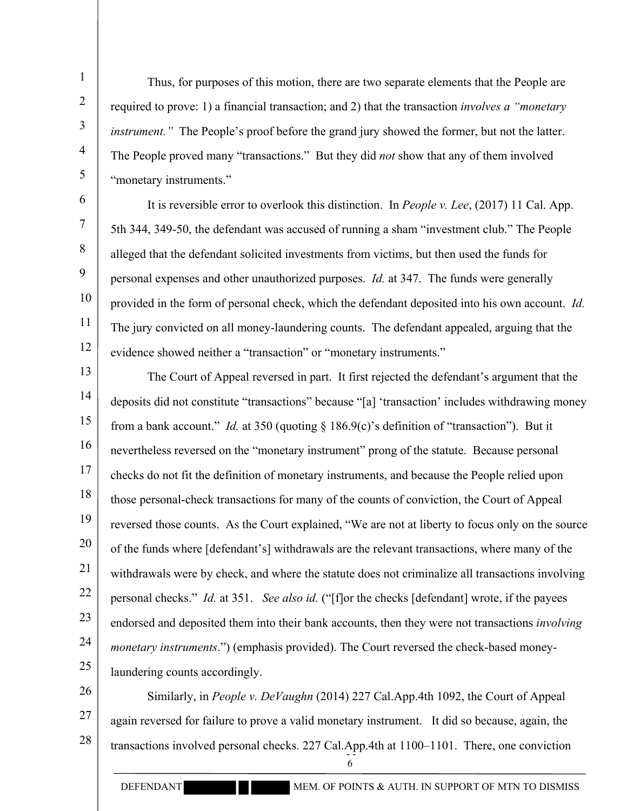Thus, for purposes of this motion, there are two separate elements that the People are required to prove: 1) a financial transaction; and 2) that the transaction *involves a "monetary instrument.*" The People's proof before the grand jury showed the former, but not the latter. The People proved many "transactions." But they did *not* show that any of them involved "monetary instruments."

10 11 12 It is reversible error to overlook this distinction. In *People v. Lee*, (2017) 11 Cal. App. 5th 344, 349-50, the defendant was accused of running a sham "investment club." The People alleged that the defendant solicited investments from victims, but then used the funds for personal expenses and other unauthorized purposes. *Id.* at 347. The funds were generally provided in the form of personal check, which the defendant deposited into his own account. *Id.* The jury convicted on all money-laundering counts. The defendant appealed, arguing that the evidence showed neither a "transaction" or "monetary instruments."

13 14 15 16 17 18 19 20 21 22 23 24 25 The Court of Appeal reversed in part. It first rejected the defendant's argument that the deposits did not constitute "transactions" because "[a] 'transaction' includes withdrawing money from a bank account." *Id.* at 350 (quoting § 186.9(c)'s definition of "transaction"). But it nevertheless reversed on the "monetary instrument" prong of the statute. Because personal checks do not fit the definition of monetary instruments, and because the People relied upon those personal-check transactions for many of the counts of conviction, the Court of Appeal reversed those counts. As the Court explained, "We are not at liberty to focus only on the source of the funds where [defendant's] withdrawals are the relevant transactions, where many of the withdrawals were by check, and where the statute does not criminalize all transactions involving personal checks." *Id.* at 351. *See also id.* ("[f]or the checks [defendant] wrote, if the payees endorsed and deposited them into their bank accounts, then they were not transactions *involving monetary instruments*.") (emphasis provided). The Court reversed the check-based moneylaundering counts accordingly.

26 27 28 transactions involved personal checks. 227 Cal.App.4th at 1100–1101. There, one conviction 6 Similarly, in *People v. DeVaughn* (2014) 227 Cal.App.4th 1092, the Court of Appeal again reversed for failure to prove a valid monetary instrument. It did so because, again, the

1

2

3

4

5

6

7

8

9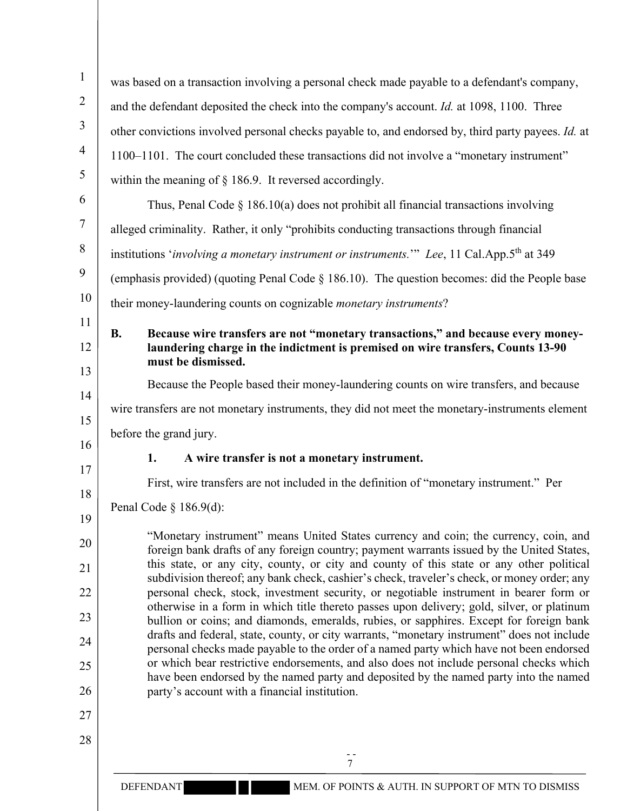| $\mathbf{1}$   | was based on a transaction involving a personal check made payable to a defendant's company,                                                                                          |  |  |  |  |  |  |
|----------------|---------------------------------------------------------------------------------------------------------------------------------------------------------------------------------------|--|--|--|--|--|--|
| $\overline{2}$ | and the defendant deposited the check into the company's account. Id. at 1098, 1100. Three                                                                                            |  |  |  |  |  |  |
| 3              | other convictions involved personal checks payable to, and endorsed by, third party payees. Id. at                                                                                    |  |  |  |  |  |  |
| 4              | 1100–1101. The court concluded these transactions did not involve a "monetary instrument"                                                                                             |  |  |  |  |  |  |
| 5              | within the meaning of $\S$ 186.9. It reversed accordingly.                                                                                                                            |  |  |  |  |  |  |
| 6              | Thus, Penal Code $\S$ 186.10(a) does not prohibit all financial transactions involving                                                                                                |  |  |  |  |  |  |
| 7              | alleged criminality. Rather, it only "prohibits conducting transactions through financial                                                                                             |  |  |  |  |  |  |
| 8              | institutions 'involving a monetary instrument or instruments." Lee, 11 Cal.App.5 <sup>th</sup> at 349                                                                                 |  |  |  |  |  |  |
| 9              | (emphasis provided) (quoting Penal Code $\S$ 186.10). The question becomes: did the People base                                                                                       |  |  |  |  |  |  |
| 10             | their money-laundering counts on cognizable <i>monetary instruments</i> ?                                                                                                             |  |  |  |  |  |  |
| 11             | Because wire transfers are not "monetary transactions," and because every money-<br><b>B.</b>                                                                                         |  |  |  |  |  |  |
| 12             | laundering charge in the indictment is premised on wire transfers, Counts 13-90                                                                                                       |  |  |  |  |  |  |
| 13             | must be dismissed.<br>Because the People based their money-laundering counts on wire transfers, and because                                                                           |  |  |  |  |  |  |
| 14             |                                                                                                                                                                                       |  |  |  |  |  |  |
| 15             | wire transfers are not monetary instruments, they did not meet the monetary-instruments element                                                                                       |  |  |  |  |  |  |
| 16             | before the grand jury.                                                                                                                                                                |  |  |  |  |  |  |
| 17             | A wire transfer is not a monetary instrument.<br>1.                                                                                                                                   |  |  |  |  |  |  |
| 18             | First, wire transfers are not included in the definition of "monetary instrument." Per                                                                                                |  |  |  |  |  |  |
| 19             | Penal Code § $186.9(d)$ :                                                                                                                                                             |  |  |  |  |  |  |
| 20             | "Monetary instrument" means United States currency and coin; the currency, coin, and<br>foreign bank drafts of any foreign country; payment warrants issued by the United States,     |  |  |  |  |  |  |
| 21             | this state, or any city, county, or city and county of this state or any other political                                                                                              |  |  |  |  |  |  |
| 22             | subdivision thereof; any bank check, cashier's check, traveler's check, or money order; any<br>personal check, stock, investment security, or negotiable instrument in bearer form or |  |  |  |  |  |  |
| 23             | otherwise in a form in which title thereto passes upon delivery; gold, silver, or platinum<br>bullion or coins; and diamonds, emeralds, rubies, or sapphires. Except for foreign bank |  |  |  |  |  |  |
| 24             | drafts and federal, state, county, or city warrants, "monetary instrument" does not include                                                                                           |  |  |  |  |  |  |
| 25             | personal checks made payable to the order of a named party which have not been endorsed<br>or which bear restrictive endorsements, and also does not include personal checks which    |  |  |  |  |  |  |
| 26             | have been endorsed by the named party and deposited by the named party into the named<br>party's account with a financial institution.                                                |  |  |  |  |  |  |
| 27             |                                                                                                                                                                                       |  |  |  |  |  |  |
| 28             |                                                                                                                                                                                       |  |  |  |  |  |  |
|                | 7                                                                                                                                                                                     |  |  |  |  |  |  |
|                | MEM. OF POINTS & AUTH. IN SUPPORT OF MTN TO DISMISS<br><b>DEFENDANT</b>                                                                                                               |  |  |  |  |  |  |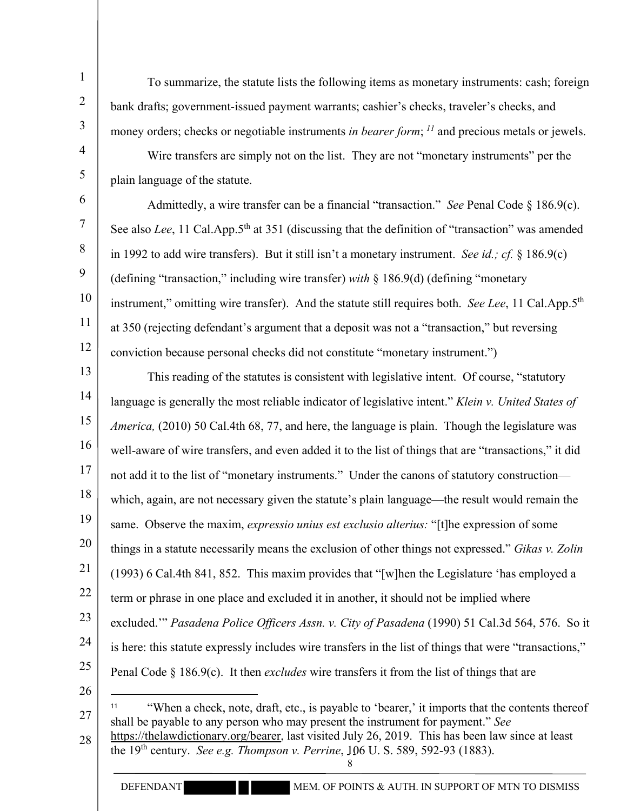To summarize, the statute lists the following items as monetary instruments: cash; foreign bank drafts; government-issued payment warrants; cashier's checks, traveler's checks, and money orders; checks or negotiable instruments *in bearer form*; *<sup>11</sup>* and precious metals or jewels.

4 5

6

7

8

9

1

2

3

Wire transfers are simply not on the list. They are not "monetary instruments" per the plain language of the statute.

10 11 12 Admittedly, a wire transfer can be a financial "transaction." *See* Penal Code § 186.9(c). See also *Lee*, 11 Cal.App.5<sup>th</sup> at 351 (discussing that the definition of "transaction" was amended in 1992 to add wire transfers). But it still isn't a monetary instrument. *See id.; cf.* § 186.9(c) (defining "transaction," including wire transfer) *with* § 186.9(d) (defining "monetary instrument," omitting wire transfer). And the statute still requires both. *See Lee*, 11 Cal.App.5th at 350 (rejecting defendant's argument that a deposit was not a "transaction," but reversing conviction because personal checks did not constitute "monetary instrument.")

13 14 15 16 17 18 19 20 21 22 23 24 25 26 This reading of the statutes is consistent with legislative intent. Of course, "statutory language is generally the most reliable indicator of legislative intent." *Klein v. United States of America,* (2010) 50 Cal.4th 68, 77, and here, the language is plain. Though the legislature was well-aware of wire transfers, and even added it to the list of things that are "transactions," it did not add it to the list of "monetary instruments." Under the canons of statutory construction which, again, are not necessary given the statute's plain language—the result would remain the same. Observe the maxim, *expressio unius est exclusio alterius:* "[t]he expression of some things in a statute necessarily means the exclusion of other things not expressed." *Gikas v. Zolin* (1993) 6 Cal.4th 841, 852. This maxim provides that "[w]hen the Legislature 'has employed a term or phrase in one place and excluded it in another, it should not be implied where excluded.'" *Pasadena Police Officers Assn. v. City of Pasadena* (1990) 51 Cal.3d 564, 576. So it is here: this statute expressly includes wire transfers in the list of things that were "transactions," Penal Code § 186.9(c). It then *excludes* wire transfers it from the list of things that are <sup>11</sup> "When a check, note, draft, etc., is payable to 'bearer,' it imports that the contents thereof

27 shall be payable to any person who may present the instrument for payment." *See* 

<sup>28</sup> the 19<sup>th</sup> century. *See e.g. Thompson v. Perrine*, 106 U. S. 589, 592-93 (1883). 8 https://thelawdictionary.org/bearer, last visited July 26, 2019. This has been law since at least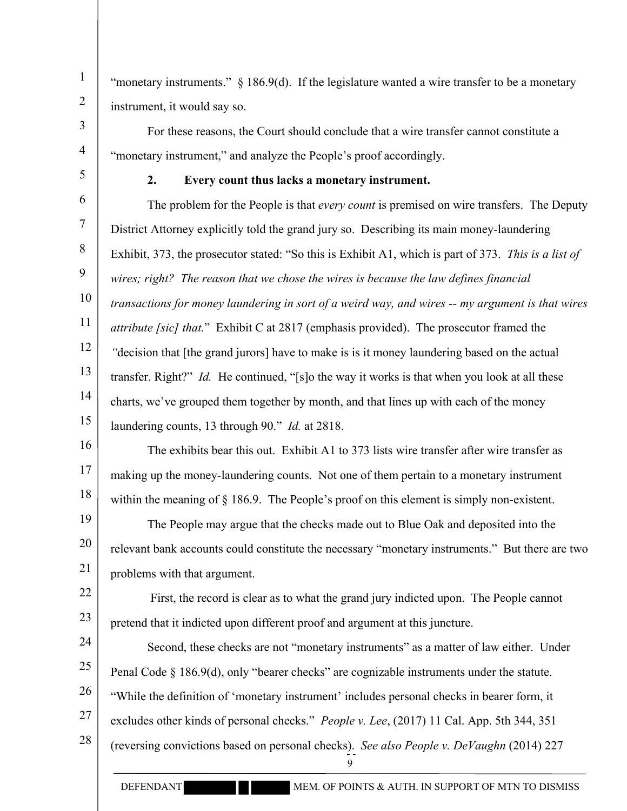"monetary instruments." § 186.9(d). If the legislature wanted a wire transfer to be a monetary instrument, it would say so.

For these reasons, the Court should conclude that a wire transfer cannot constitute a "monetary instrument," and analyze the People's proof accordingly.

5

1

2

3

4

## **2. Every count thus lacks a monetary instrument.**

6 7 8 9 10 11 12 13 14 15 The problem for the People is that *every count* is premised on wire transfers. The Deputy District Attorney explicitly told the grand jury so. Describing its main money-laundering Exhibit, 373, the prosecutor stated: "So this is Exhibit A1, which is part of 373. *This is a list of wires; right? The reason that we chose the wires is because the law defines financial transactions for money laundering in sort of a weird way, and wires -- my argument is that wires attribute [sic] that.*" Exhibit C at 2817 (emphasis provided). The prosecutor framed the *"*decision that [the grand jurors] have to make is is it money laundering based on the actual transfer. Right?" *Id.* He continued, "[s]o the way it works is that when you look at all these charts, we've grouped them together by month, and that lines up with each of the money laundering counts, 13 through 90." *Id.* at 2818.

16 17 18 The exhibits bear this out. Exhibit A1 to 373 lists wire transfer after wire transfer as making up the money-laundering counts. Not one of them pertain to a monetary instrument within the meaning of  $\S$  186.9. The People's proof on this element is simply non-existent.

19 20 21 The People may argue that the checks made out to Blue Oak and deposited into the relevant bank accounts could constitute the necessary "monetary instruments." But there are two problems with that argument.

22 23 First, the record is clear as to what the grand jury indicted upon. The People cannot pretend that it indicted upon different proof and argument at this juncture.

24 25 26 27 28 (reversing convictions based on personal checks). *See also People v. DeVaughn* (2014) 227 Second, these checks are not "monetary instruments" as a matter of law either. Under Penal Code § 186.9(d), only "bearer checks" are cognizable instruments under the statute. "While the definition of 'monetary instrument' includes personal checks in bearer form, it excludes other kinds of personal checks." *People v. Lee*, (2017) 11 Cal. App. 5th 344, 351

9